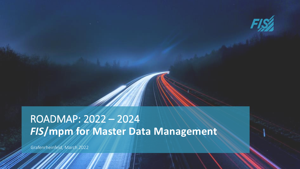

# *FIS***/mpm for Master Data Management** ROADMAP: 2022 – 2024

Grafenrheinfeld, March 2022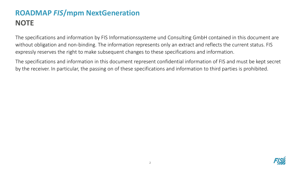The specifications and information by FIS Informationssysteme und Consulting GmbH contained in this document are without obligation and non-binding. The information represents only an extract and reflects the current status. FIS expressly reserves the right to make subsequent changes to these specifications and information.

The specifications and information in this document represent confidential information of FIS and must be kept secret by the receiver. In particular, the passing on of these specifications and information to third parties is prohibited.

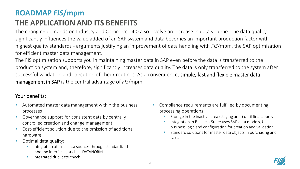## **ROADMAP** *FIS***/mpm**

### **THE APPLICATION AND ITS BENEFITS**

The changing demands on Industry and Commerce 4.0 also involve an increase in data volume. The data quality significantly influences the value added of an SAP system and data becomes an important production factor with highest quality standards - arguments justifying an improvement of data handling with *FIS*/mpm, the SAP optimization for efficient master data management.

The FIS optimization supports you in maintaining master data in SAP even before the data is transferred to the production system and, therefore, significantly increases data quality. The data is only transferred to the system after successful validation and execution of check routines. As a consequence, simple, fast and flexible master data management in SAP is the central advantage of *FIS*/mpm.

#### Your benefits:

- Automated master data management within the business processes
- Governance support for consistent data by centrally controlled creation and change management
- Cost-efficient solution due to the omission of additional hardware
- Optimal data quality:
	- Integrates external data sources through standardized inbound interfaces, such as DATANORM
	- Integrated duplicate check
- Compliance requirements are fulfilled by documenting processing operations:
	- Storage in the inactive area (staging area) until final approval
	- Integration in Business Suite: uses SAP data models, UI, business logic and configuration for creation and validation
	- Standard solutions for master data objects in purchasing and sales

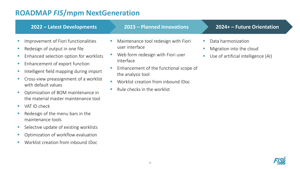maintenance tools

■ Selective update of existing worklists

**•** Optimization of workflow evaluation

■ Worklist creation from inbound IDoc

|                                                                                                                    | 2022 - Latest Developments                                                                                                                                                                                                                                                                                                                    | 2023 - Planned Innovations                                                                                                                                                                                                                    | 2024+ - Future Orientation                                                                                           |
|--------------------------------------------------------------------------------------------------------------------|-----------------------------------------------------------------------------------------------------------------------------------------------------------------------------------------------------------------------------------------------------------------------------------------------------------------------------------------------|-----------------------------------------------------------------------------------------------------------------------------------------------------------------------------------------------------------------------------------------------|----------------------------------------------------------------------------------------------------------------------|
| $\mathcal{C}^{\mathcal{A}}$<br>$\mathcal{C}$<br>$\mathcal{C}$<br>$\mathcal{C}^{\mathcal{A}}$<br>×<br>$\mathcal{C}$ | Improvement of Fiori functionalities<br>Redesign of output in one file<br>Enhanced selection option for worklists<br>Enhancement of export function<br>Intelligent field mapping during import<br>Cross-view preassignment of a worklist<br>with default values<br>Optimization of BOM maintenance in<br>the material master maintenance tool | Maintenance tool redesign with Fiori<br>user interface<br>Web form redesign with Fiori user<br>interface<br>Enhancement of the functional scope of<br>the analysis tool<br>Worklist creation from inbound IDoc<br>Rule checks in the worklist | Data harmonization<br>Migration into the cloud<br>Use of artificial intelligence (AI)<br>$\mathcal{L}_{\mathcal{A}}$ |
| <b>In</b>                                                                                                          | VAT ID check<br>Redesign of the menu bars in the                                                                                                                                                                                                                                                                                              |                                                                                                                                                                                                                                               |                                                                                                                      |

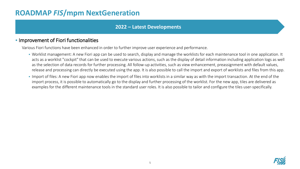#### **2022 – Latest Developments**

#### **.** Improvement of Fiori functionalities

Various Fiori functions have been enhanced in order to further improve user experience and performance.

- Worklist management: A new Fiori app can be used to search, display and manage the worklists for each maintenance tool in one application. It acts as a worklist "cockpit" that can be used to execute various actions, such as the display of detail information including application logs as well as the selection of data records for further processing. All follow-up activities, such as view enhancement, preassignment with default values, release and processing can directly be executed using the app. It is also possible to call the import and export of worklists and files from this app.
- **.** Import of files: A new Fiori app now enables the import of files into worklists in a similar way as with the import transaction. At the end of the import process, it is possible to automatically go to the display and further processing of the worklist. For the new app, tiles are delivered as examples for the different maintenance tools in the standard user roles. It is also possible to tailor and configure the tiles user-specifically.

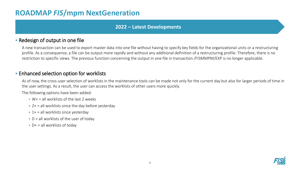#### **2022 – Latest Developments**

#### **- Redesign of output in one file**

A new transaction can be used to export master data into one file without having to specify key fields for the organizational units or a restructuring profile. As a consequence, a file can be output more rapidly and without any additional definition of a restructuring profile. Therefore, there is no restriction to specific views. The previous function concerning the output in one file in transaction /FISMMPM/EXP is no longer applicable.

#### **Enhanced selection option for worklists**

As of now, the cross-user selection of worklists in the maintenance tools can be made not only for the current day but also for larger periods of time in the user settings. As a result, the user can access the worklists of other users more quickly.

The following options have been added:

- $W + =$  all worklists of the last 2 weeks
- $\bullet$  2+ = all worklists since the day before yesterday
- $\textbf{1} + \textbf{2}$  all worklists since yesterday
- $\bullet$  D = all worklists of the user of today
- $\blacksquare$  D+ = all worklists of today

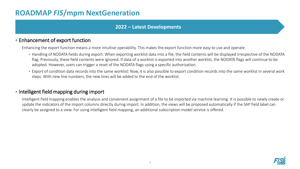#### **2022 – Latest Developments**

#### **Enhancement of export function**

Enhancing the export function means a more intuitive operability. This makes the export function more easy to use and operate.

- Handling of NODATA fields during export: When exporting worklist data into a file, the field contents will be displayed irrespective of the NODATA flag. Previously, these field contents were ignored. If data of a worklist is exported into another worklist, the NODATA flags will continue to be adopted. However, users can trigger a reset of the NODATA flags using a specific authorization.
- **Export of condition data records into the same worklist: Now, it is also possible to export condition records into the same worklist in several work** steps. With new line numbers, the new lines will be added to the end of the worklist.

#### **• Intelligent field mapping during import**

Intelligent field mapping enables the analysis and convenient assignment of a file to be imported via machine learning. It is possible to newly create or update the indicators of the import columns directly during import. In addition, the views will be proposed automatically if the SAP field label can clearly be assigned to a view. For using intelligent field mapping, an additional subscription model service is offered.

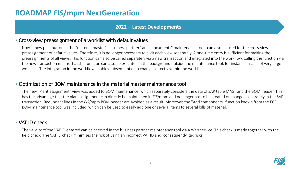#### **2022 – Latest Developments**

#### **• Cross-view preassignment of a worklist with default values**

Now, a new pushbutton in the "material master", "business partner" and "documents" maintenance tools can also be used for the cross-view preassignment of default values. Therefore, it is no longer necessary to click each view separately. A one-time entry is sufficient for making the preassignments of all views. This function can also be called separately via a new transaction and integrated into the workflow. Calling the function via the new transaction means that the function can also be executed in the background outside the maintenance tool, for instance in case of very large worklists. The integration in the workflow enables subsequent data changes directly within the worklist.

#### ▪ Optimization of BOM maintenance in the material master maintenance tool

The new "Plant assignment" view was added to BOM maintenance, which separately considers the data of SAP table MAST and the BOM header. This has the advantage that the plant assignment can directly be maintained in *FIS*/mpm and no longer has to be created or changed separately in the SAP transaction. Redundant lines in the *FIS*/mpm BOM header are avoided as a result. Moreover, the "Add components" function known from the ECC BOM maintenance tool was included, which can be used to easily add one or several items to several bills of material.

#### ■ VAT ID check

The validity of the VAT ID entered can be checked in the business partner maintenance tool via a Web service. This check is made together with the field check. The VAT ID check minimizes the risk of using an incorrect VAT ID and, consequently, tax risks.

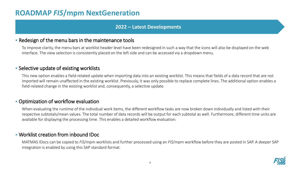#### **2022 – Latest Developments**

#### **• Redesign of the menu bars in the maintenance tools**

To improve clarity, the menu bars at worklist header level have been redesigned in such a way that the icons will also be displayed on the web interface. The view selection is consistently placed on the left side and can be accessed via a dropdown menu.

#### **E** Selective update of existing worklists

This new option enables a field-related update when importing data into an existing worklist. This means that fields of a data record that are not imported will remain unaffected in the existing worklist. Previously, it was only possible to replace complete lines. The additional option enables a field-related change in the existing worklist and, consequently, a selective update.

#### **• Optimization of workflow evaluation**

When evaluating the runtime of the individual work items, the different workflow tasks are now broken down individually and listed with their respective subtotals/mean values. The total number of data records will be output for each subtotal as well. Furthermore, different time units are available for displaying the processing time. This enables a detailed workflow evaluation.

#### ▪ Worklist creation from inbound IDoc

MATMAS IDocs can be copied to *FIS*/mpm worklists and further processed using an *FIS*/mpm workflow before they are posted in SAP. A deeper SAP integration is enabled by using this SAP standard format.

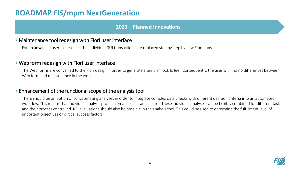#### **2023 – Planned Innovations**

#### **• Maintenance tool redesign with Fiori user interface**

For an advanced user experience, the individual GUI transactions are replaced step by step by new Fiori apps.

#### **.** Web form redesign with Fiori user interface

The Web forms are converted to the Fiori design in order to generate a uniform look & feel. Consequently, the user will find no differences between Web form and maintenance in the worklist.

#### **Enhancement of the functional scope of the analysis tool**

There should be an option of concatenating analyses in order to integrate complex data checks with different decision criteria into an automated workflow. This means that individual analysis profiles remain easier and clearer. These individual analyses can be flexibly combined for different tasks and their process controlled. KPI evaluations should also be possible in the analysis tool. This could be used to determine the fulfillment level of important objectives or critical success factors.

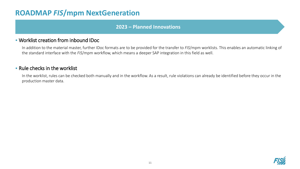#### **2023 – Planned Innovations**

#### ▪ Worklist creation from inbound IDoc

In addition to the material master, further IDoc formats are to be provided for the transfer to *FIS*/mpm worklists. This enables an automatic linking of the standard interface with the *FIS*/mpm workflow, which means a deeper SAP integration in this field as well.

#### ▪ Rule checks in the worklist

In the worklist, rules can be checked both manually and in the workflow. As a result, rule violations can already be identified before they occur in the production master data.

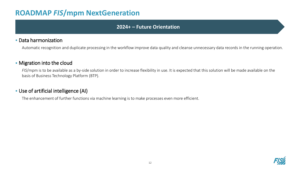#### **2024+ – Future Orientation**

#### ▪ Data harmonization

Automatic recognition and duplicate processing in the workflow improve data quality and cleanse unnecessary data records in the running operation.

#### **• Migration into the cloud**

*FIS*/mpm is to be available as a by-side solution in order to increase flexibility in use. It is expected that this solution will be made available on the basis of Business Technology Platform (BTP).

#### **- Use of artificial intelligence (AI)**

The enhancement of further functions via machine learning is to make processes even more efficient.